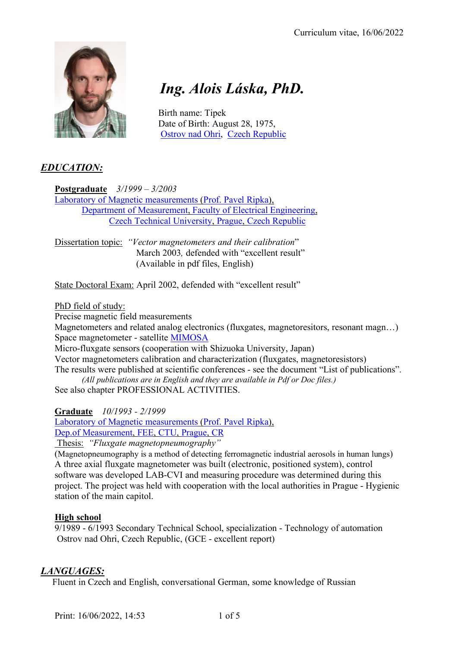

# *Ing. Alois Láska, PhD.*

 Birth name: Tipek Date of Birth: August 28, 1975, Ostrov nad Ohri, Czech Republic

# *EDUCATION:*

**Postgraduate** *3/1999 – 3/2003* Laboratory of Magnetic measurements (Prof. Pavel Ripka), Department of Measurement, Faculty of Electrical Engineering, Czech Technical University, Prague, Czech Republic

Dissertation topic: *"Vector magnetometers and their calibration*" March 2003, defended with "excellent result" (Available in pdf files, English)

State Doctoral Exam: April 2002, defended with "excellent result"

#### PhD field of study:

Precise magnetic field measurements

Magnetometers and related analog electronics (fluxgates, magnetoresitors, resonant magn...) Space magnetometer - satellite MIMOSA

Micro-fluxgate sensors (cooperation with Shizuoka University, Japan)

Vector magnetometers calibration and characterization (fluxgates, magnetoresistors)

The results were published at scientific conferences - see the document "List of publications".

*(All publications are in English and they are available in Pdf or Doc files.)* See also chapter PROFESSIONAL ACTIVITIES.

**Graduate** *10/1993 - 2/1999*

Laboratory of Magnetic measurements (Prof. Pavel Ripka), Dep.of Measurement, FEE, CTU, Prague, CR

Thesis: *"Fluxgate magnetopneumography"*

(Magnetopneumography is a method of detecting ferromagnetic industrial aerosols in human lungs) A three axial fluxgate magnetometer was built (electronic, positioned system), control software was developed LAB-CVI and measuring procedure was determined during this project. The project was held with cooperation with the local authorities in Prague - Hygienic station of the main capitol.

## **High school**

9/1989 - 6/1993 Secondary Technical School, specialization - Technology of automation Ostrov nad Ohri, Czech Republic, (GCE - excellent report)

## *LANGUAGES:*

Fluent in Czech and English, conversational German, some knowledge of Russian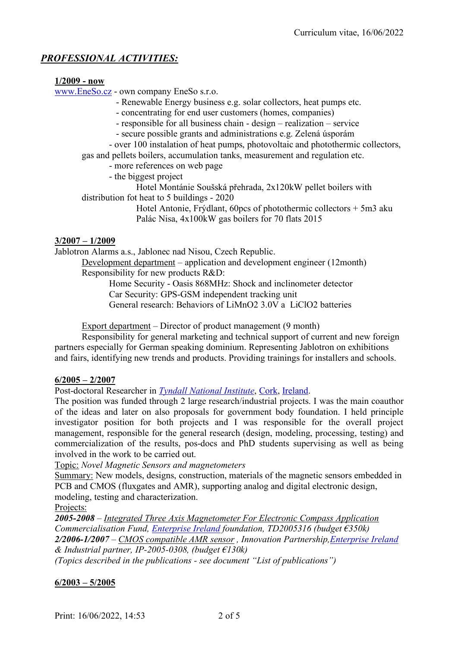# *PROFESSIONAL ACTIVITIES:*

#### **1/2009 - now**

www.EneSo.cz - own company EneSo s.r.o.

- Renewable Energy business e.g. solar collectors, heat pumps etc.
- concentrating for end user customers (homes, companies)
- responsible for all business chain design realization service
- secure possible grants and administrations e.g. Zelená úsporám

- over 100 instalation of heat pumps, photovoltaic and photothermic collectors, gas and pellets boilers, accumulation tanks, measurement and regulation etc.

- more references on web page
- the biggest project

Hotel Montánie Soušská přehrada, 2x120kW pellet boilers with distribution fot heat to 5 buildings - 2020

> Hotel Antonie, Frýdlant, 60pcs of photothermic collectors + 5m3 aku Palác Nisa, 4x100kW gas boilers for 70 flats 2015

#### **3/2007 – 1/2009**

Jablotron Alarms a.s., Jablonec nad Nisou, Czech Republic.

Development department – application and development engineer (12month) Responsibility for new products R&D:

> Home Security - Oasis 868MHz: Shock and inclinometer detector Car Security: GPS-GSM independent tracking unit General research: Behaviors of LiMnO2 3.0V a LiClO2 batteries

Export department – Director of product management (9 month)

Responsibility for general marketing and technical support of current and new foreign partners especially for German speaking dominium. Representing Jablotron on exhibitions and fairs, identifying new trends and products. Providing trainings for installers and schools.

#### **6/2005 – 2/2007**

Post-doctoral Researcher in *Tyndall National Institute*, Cork, Ireland.

The position was funded through 2 large research/industrial projects. I was the main coauthor of the ideas and later on also proposals for government body foundation. I held principle investigator position for both projects and I was responsible for the overall project management, responsible for the general research (design, modeling, processing, testing) and commercialization of the results, pos-docs and PhD students supervising as well as being involved in the work to be carried out.

Topic: *Novel Magnetic Sensors and magnetometers*

Summary: New models, designs, construction, materials of the magnetic sensors embedded in PCB and CMOS (fluxgates and AMR), supporting analog and digital electronic design, modeling, testing and characterization.

Projects:

*2005-2008 – Integrated Three Axis Magnetometer For Electronic Compass Application Commercialisation Fund, Enterprise Ireland foundation, TD2005316 (budget €350k) 2/2006-1/2007 – CMOS compatible AMR sensor , Innovation Partnership,Enterprise Ireland & Industrial partner, IP-2005-0308, (budget €130k) (Topics described in the publications - see document "List of publications")*

#### **6/2003 – 5/2005**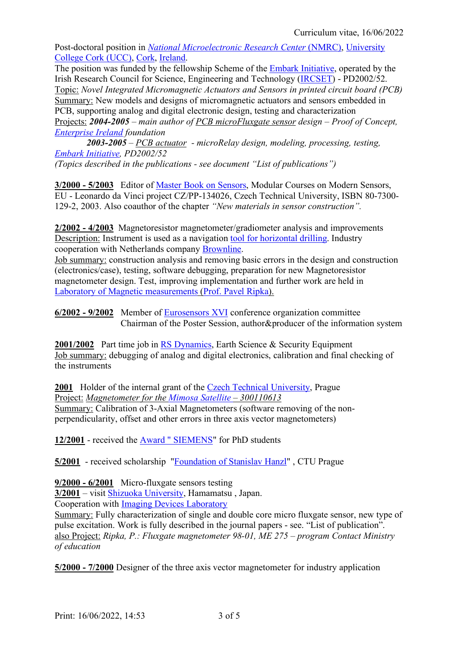Post-doctoral position in *National Microelectronic Research Center* (NMRC), University College Cork (UCC), Cork, Ireland.

The position was funded by the fellowship Scheme of the Embark Initiative, operated by the Irish Research Council for Science, Engineering and Technology (IRCSET) - PD2002/52. Topic: *Novel Integrated Micromagnetic Actuators and Sensors in printed circuit board (PCB)* Summary: New models and designs of micromagnetic actuators and sensors embedded in PCB, supporting analog and digital electronic design, testing and characterization Projects: *2004-2005 – main author of PCB microFluxgate sensor design – Proof of Concept, Enterprise Ireland foundation*

 *2003-2005 – PCB actuator - microRelay design, modeling, processing, testing, Embark Initiative, PD2002/52*

*(Topics described in the publications - see document "List of publications")*

**3/2000 - 5/2003** Editor of Master Book on Sensors, Modular Courses on Modern Sensors, EU - Leonardo da Vinci project CZ/PP-134026, Czech Technical University, ISBN 80-7300- 129-2, 2003. Also coauthor of the chapter *"New materials in sensor construction".*

**2/2002 - 4/2003** Magnetoresistor magnetometer/gradiometer analysis and improvements Description: Instrument is used as a navigation tool for horizontal drilling. Industry cooperation with Netherlands company Brownline.

Job summary: construction analysis and removing basic errors in the design and construction (electronics/case), testing, software debugging, preparation for new Magnetoresistor magnetometer design. Test, improving implementation and further work are held in Laboratory of Magnetic measurements (Prof. Pavel Ripka).

**6/2002 - 9/2002** Member of Eurosensors XVI conference organization committee Chairman of the Poster Session, author&producer of the information system

**2001/2002** Part time job in RS Dynamics, Earth Science & Security Equipment Job summary: debugging of analog and digital electronics, calibration and final checking of the instruments

**2001** Holder of the internal grant of the Czech Technical University, Prague Project: *Magnetometer for the Mimosa Satellite – 300110613* Summary: Calibration of 3-Axial Magnetometers (software removing of the nonperpendicularity, offset and other errors in three axis vector magnetometers)

**12/2001** - received the Award " SIEMENS" for PhD students

**5/2001** - received scholarship "Foundation of Stanislav Hanzl" , CTU Prague

**9/2000 - 6/2001** Micro-fluxgate sensors testing

**3/2001** – visit Shizuoka University, Hamamatsu , Japan.

Cooperation with Imaging Devices Laboratory

Summary: Fully characterization of single and double core micro fluxgate sensor, new type of pulse excitation. Work is fully described in the journal papers - see. "List of publication". also Project: *Ripka, P.: Fluxgate magnetometer 98-01, ME 275 – program Contact Ministry of education*

**5/2000 - 7/2000** Designer of the three axis vector magnetometer for industry application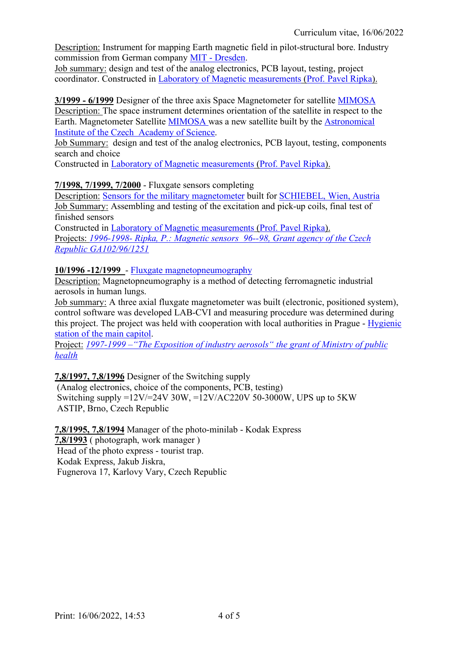Description: Instrument for mapping Earth magnetic field in pilot-structural bore. Industry commission from German company MIT - Dresden.

Job summary: design and test of the analog electronics, PCB layout, testing, project coordinator. Constructed in Laboratory of Magnetic measurements (Prof. Pavel Ripka).

**3/1999 - 6/1999** Designer of the three axis Space Magnetometer for satellite MIMOSA Description: The space instrument determines orientation of the satellite in respect to the Earth. Magnetometer Satellite MIMOSA was a new satellite built by the Astronomical Institute of the Czech Academy of Science.

Job Summary: design and test of the analog electronics, PCB layout, testing, components search and choice

Constructed in Laboratory of Magnetic measurements (Prof. Pavel Ripka).

#### **7/1998, 7/1999, 7/2000** - Fluxgate sensors completing

Description: Sensors for the military magnetometer built for SCHIEBEL, Wien, Austria Job Summary: Assembling and testing of the excitation and pick-up coils, final test of finished sensors

Constructed in Laboratory of Magnetic measurements (Prof. Pavel Ripka). Projects: *1996-1998- Ripka, P.: Magnetic sensors 96--98, Grant agency of the Czech Republic GA102/96/1251*

#### **10/1996 -12/1999** - Fluxgate magnetopneumography

Description: Magnetopneumography is a method of detecting ferromagnetic industrial aerosols in human lungs.

Job summary: A three axial fluxgate magnetometer was built (electronic, positioned system), control software was developed LAB-CVI and measuring procedure was determined during this project. The project was held with cooperation with local authorities in Prague - Hygienic station of the main capitol.

Project: *1997-1999 –"The Exposition of industry aerosols" the grant of Ministry of public health*

**7,8/1997, 7,8/1996** Designer of the Switching supply

(Analog electronics, choice of the components, PCB, testing) Switching supply  $=12V/=24V$  30W,  $=12V/AC220V$  50-3000W, UPS up to 5KW ASTIP, Brno, Czech Republic

**7,8/1995, 7,8/1994** Manager of the photo-minilab - Kodak Express **7,8/1993** ( photograph, work manager )

Head of the photo express - tourist trap. Kodak Express, Jakub Jiskra, Fugnerova 17, Karlovy Vary, Czech Republic